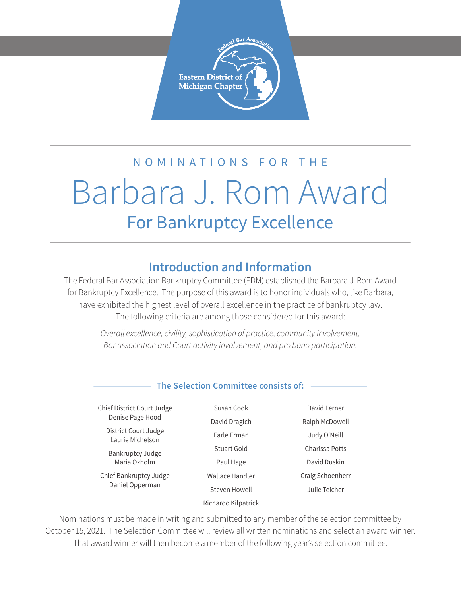

# NOMINATIONS FOR THE Barbara J. Rom Award For Bankruptcy Excellence

### **Introduction and Information**

The Federal Bar Association Bankruptcy Committee (EDM) established the Barbara J. Rom Award for Bankruptcy Excellence. The purpose of this award is to honor individuals who, like Barbara, have exhibited the highest level of overall excellence in the practice of bankruptcy law. The following criteria are among those considered for this award:

> *Overall excellence, civility, sophistication of practice, community involvement, Bar association and Court activity involvement, and pro bono participation.*

#### **The Selection Committee consists of:**

Chief District Court Judge Denise Page Hood

> District Court Judge Laurie Michelson

Bankruptcy Judge Maria Oxholm

Chief Bankruptcy Judge Daniel Opperman

Susan Cook David Dragich Earle Erman Stuart Gold Paul Hage Wallace Handler Steven Howell Richardo Kilpatrick

David Lerner Ralph McDowell Judy O'Neill Charissa Potts David Ruskin Craig Schoenherr Julie Teicher

Nominations must be made in writing and submitted to any member of the selection committee by October 15, 2021. The Selection Committee will review all written nominations and select an award winner. That award winner will then become a member of the following year's selection committee.